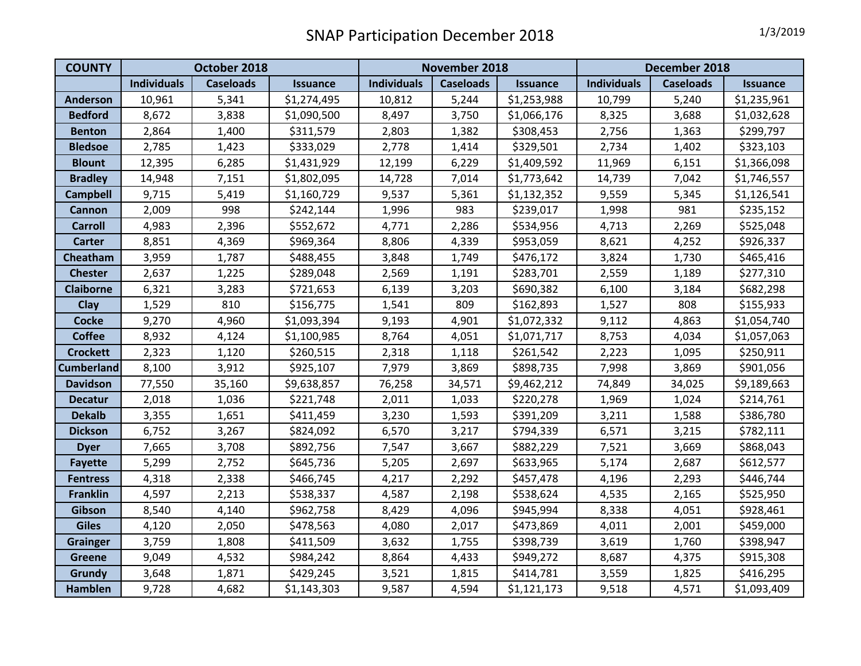| <b>COUNTY</b>     | October 2018       |                  |                 | <b>November 2018</b> |                  |                 | December 2018      |                  |                 |
|-------------------|--------------------|------------------|-----------------|----------------------|------------------|-----------------|--------------------|------------------|-----------------|
|                   | <b>Individuals</b> | <b>Caseloads</b> | <b>Issuance</b> | <b>Individuals</b>   | <b>Caseloads</b> | <b>Issuance</b> | <b>Individuals</b> | <b>Caseloads</b> | <b>Issuance</b> |
| <b>Anderson</b>   | 10,961             | 5,341            | \$1,274,495     | 10,812               | 5,244            | \$1,253,988     | 10,799             | 5,240            | \$1,235,961     |
| <b>Bedford</b>    | 8,672              | 3,838            | \$1,090,500     | 8,497                | 3,750            | \$1,066,176     | 8,325              | 3,688            | \$1,032,628     |
| <b>Benton</b>     | 2,864              | 1,400            | \$311,579       | 2,803                | 1,382            | \$308,453       | 2,756              | 1,363            | \$299,797       |
| <b>Bledsoe</b>    | 2,785              | 1,423            | \$333,029       | 2,778                | 1,414            | \$329,501       | 2,734              | 1,402            | \$323,103       |
| <b>Blount</b>     | 12,395             | 6,285            | \$1,431,929     | 12,199               | 6,229            | \$1,409,592     | 11,969             | 6,151            | \$1,366,098     |
| <b>Bradley</b>    | 14,948             | 7,151            | \$1,802,095     | 14,728               | 7,014            | \$1,773,642     | 14,739             | 7,042            | \$1,746,557     |
| <b>Campbell</b>   | 9,715              | 5,419            | \$1,160,729     | 9,537                | 5,361            | \$1,132,352     | 9,559              | 5,345            | \$1,126,541     |
| Cannon            | 2,009              | 998              | \$242,144       | 1,996                | 983              | \$239,017       | 1,998              | 981              | \$235,152       |
| <b>Carroll</b>    | 4,983              | 2,396            | \$552,672       | 4,771                | 2,286            | \$534,956       | 4,713              | 2,269            | \$525,048       |
| <b>Carter</b>     | 8,851              | 4,369            | \$969,364       | 8,806                | 4,339            | \$953,059       | 8,621              | 4,252            | \$926,337       |
| Cheatham          | 3,959              | 1,787            | \$488,455       | 3,848                | 1,749            | \$476,172       | 3,824              | 1,730            | \$465,416       |
| <b>Chester</b>    | 2,637              | 1,225            | \$289,048       | 2,569                | 1,191            | \$283,701       | 2,559              | 1,189            | \$277,310       |
| <b>Claiborne</b>  | 6,321              | 3,283            | \$721,653       | 6,139                | 3,203            | \$690,382       | 6,100              | 3,184            | \$682,298       |
| Clay              | 1,529              | 810              | \$156,775       | 1,541                | 809              | \$162,893       | 1,527              | 808              | \$155,933       |
| <b>Cocke</b>      | 9,270              | 4,960            | \$1,093,394     | 9,193                | 4,901            | \$1,072,332     | 9,112              | 4,863            | \$1,054,740     |
| <b>Coffee</b>     | 8,932              | 4,124            | \$1,100,985     | 8,764                | 4,051            | \$1,071,717     | 8,753              | 4,034            | \$1,057,063     |
| <b>Crockett</b>   | 2,323              | 1,120            | \$260,515       | 2,318                | 1,118            | \$261,542       | 2,223              | 1,095            | \$250,911       |
| <b>Cumberland</b> | 8,100              | 3,912            | \$925,107       | 7,979                | 3,869            | \$898,735       | 7,998              | 3,869            | \$901,056       |
| <b>Davidson</b>   | 77,550             | 35,160           | \$9,638,857     | 76,258               | 34,571           | \$9,462,212     | 74,849             | 34,025           | \$9,189,663     |
| <b>Decatur</b>    | 2,018              | 1,036            | \$221,748       | 2,011                | 1,033            | \$220,278       | 1,969              | 1,024            | \$214,761       |
| <b>Dekalb</b>     | 3,355              | 1,651            | \$411,459       | 3,230                | 1,593            | \$391,209       | 3,211              | 1,588            | \$386,780       |
| <b>Dickson</b>    | 6,752              | 3,267            | \$824,092       | 6,570                | 3,217            | \$794,339       | 6,571              | 3,215            | \$782,111       |
| <b>Dyer</b>       | 7,665              | 3,708            | \$892,756       | 7,547                | 3,667            | \$882,229       | 7,521              | 3,669            | \$868,043       |
| <b>Fayette</b>    | 5,299              | 2,752            | \$645,736       | 5,205                | 2,697            | \$633,965       | 5,174              | 2,687            | \$612,577       |
| <b>Fentress</b>   | 4,318              | 2,338            | \$466,745       | 4,217                | 2,292            | \$457,478       | 4,196              | 2,293            | \$446,744       |
| <b>Franklin</b>   | 4,597              | 2,213            | \$538,337       | 4,587                | 2,198            | \$538,624       | 4,535              | 2,165            | \$525,950       |
| Gibson            | 8,540              | 4,140            | \$962,758       | 8,429                | 4,096            | \$945,994       | 8,338              | 4,051            | \$928,461       |
| <b>Giles</b>      | 4,120              | 2,050            | \$478,563       | 4,080                | 2,017            | \$473,869       | 4,011              | 2,001            | \$459,000       |
| <b>Grainger</b>   | 3,759              | 1,808            | \$411,509       | 3,632                | 1,755            | \$398,739       | 3,619              | 1,760            | \$398,947       |
| <b>Greene</b>     | 9,049              | 4,532            | \$984,242       | 8,864                | 4,433            | \$949,272       | 8,687              | 4,375            | \$915,308       |
| <b>Grundy</b>     | 3,648              | 1,871            | \$429,245       | 3,521                | 1,815            | \$414,781       | 3,559              | 1,825            | \$416,295       |
| <b>Hamblen</b>    | 9,728              | 4,682            | \$1,143,303     | 9,587                | 4,594            | \$1,121,173     | 9,518              | 4,571            | \$1,093,409     |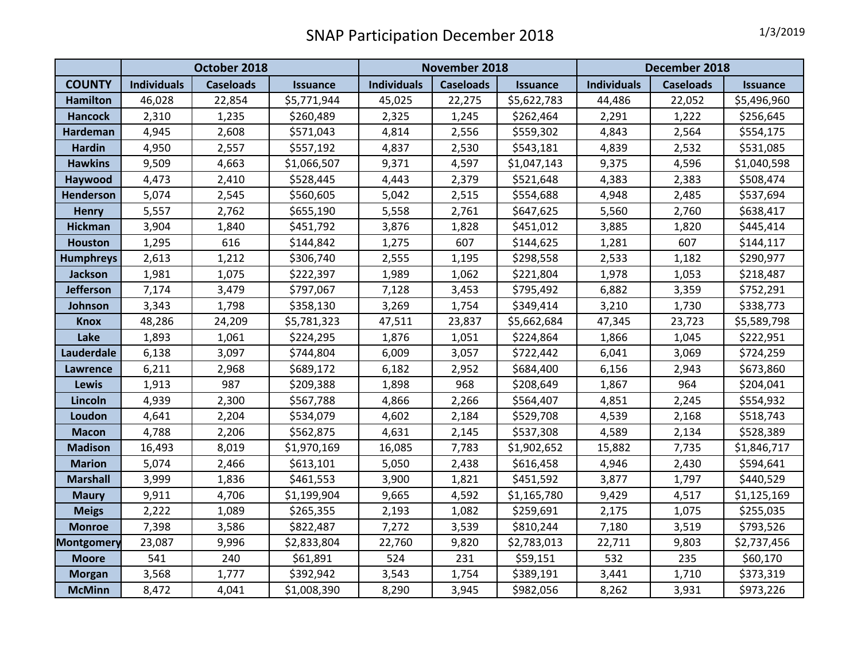|                   | October 2018       |                  |                 | November 2018      |                  |                 | December 2018      |                  |                 |
|-------------------|--------------------|------------------|-----------------|--------------------|------------------|-----------------|--------------------|------------------|-----------------|
| <b>COUNTY</b>     | <b>Individuals</b> | <b>Caseloads</b> | <b>Issuance</b> | <b>Individuals</b> | <b>Caseloads</b> | <b>Issuance</b> | <b>Individuals</b> | <b>Caseloads</b> | <b>Issuance</b> |
| <b>Hamilton</b>   | 46,028             | 22,854           | \$5,771,944     | 45,025             | 22,275           | \$5,622,783     | 44,486             | 22,052           | \$5,496,960     |
| <b>Hancock</b>    | 2,310              | 1,235            | \$260,489       | 2,325              | 1,245            | \$262,464       | 2,291              | 1,222            | \$256,645       |
| <b>Hardeman</b>   | 4,945              | 2,608            | \$571,043       | 4,814              | 2,556            | \$559,302       | 4,843              | 2,564            | \$554,175       |
| <b>Hardin</b>     | 4,950              | 2,557            | \$557,192       | 4,837              | 2,530            | \$543,181       | 4,839              | 2,532            | \$531,085       |
| <b>Hawkins</b>    | 9,509              | 4,663            | \$1,066,507     | 9,371              | 4,597            | \$1,047,143     | 9,375              | 4,596            | \$1,040,598     |
| Haywood           | 4,473              | 2,410            | \$528,445       | 4,443              | 2,379            | \$521,648       | 4,383              | 2,383            | \$508,474       |
| <b>Henderson</b>  | 5,074              | 2,545            | \$560,605       | 5,042              | 2,515            | \$554,688       | 4,948              | 2,485            | \$537,694       |
| <b>Henry</b>      | 5,557              | 2,762            | \$655,190       | 5,558              | 2,761            | \$647,625       | 5,560              | 2,760            | \$638,417       |
| <b>Hickman</b>    | 3,904              | 1,840            | \$451,792       | 3,876              | 1,828            | \$451,012       | 3,885              | 1,820            | \$445,414       |
| <b>Houston</b>    | 1,295              | 616              | \$144,842       | 1,275              | 607              | \$144,625       | 1,281              | 607              | \$144,117       |
| <b>Humphreys</b>  | 2,613              | 1,212            | \$306,740       | 2,555              | 1,195            | \$298,558       | 2,533              | 1,182            | \$290,977       |
| Jackson           | 1,981              | 1,075            | \$222,397       | 1,989              | 1,062            | \$221,804       | 1,978              | 1,053            | \$218,487       |
| <b>Jefferson</b>  | 7,174              | 3,479            | \$797,067       | 7,128              | 3,453            | \$795,492       | 6,882              | 3,359            | \$752,291       |
| Johnson           | 3,343              | 1,798            | \$358,130       | 3,269              | 1,754            | \$349,414       | 3,210              | 1,730            | \$338,773       |
| <b>Knox</b>       | 48,286             | 24,209           | \$5,781,323     | 47,511             | 23,837           | \$5,662,684     | 47,345             | 23,723           | \$5,589,798     |
| Lake              | 1,893              | 1,061            | \$224,295       | 1,876              | 1,051            | \$224,864       | 1,866              | 1,045            | \$222,951       |
| Lauderdale        | 6,138              | 3,097            | \$744,804       | 6,009              | 3,057            | \$722,442       | 6,041              | 3,069            | \$724,259       |
| Lawrence          | 6,211              | 2,968            | \$689,172       | 6,182              | 2,952            | \$684,400       | 6,156              | 2,943            | \$673,860       |
| <b>Lewis</b>      | 1,913              | 987              | \$209,388       | 1,898              | 968              | \$208,649       | 1,867              | 964              | \$204,041       |
| Lincoln           | 4,939              | 2,300            | \$567,788       | 4,866              | 2,266            | \$564,407       | 4,851              | 2,245            | \$554,932       |
| Loudon            | 4,641              | 2,204            | \$534,079       | 4,602              | 2,184            | \$529,708       | 4,539              | 2,168            | \$518,743       |
| <b>Macon</b>      | 4,788              | 2,206            | \$562,875       | 4,631              | 2,145            | \$537,308       | 4,589              | 2,134            | \$528,389       |
| <b>Madison</b>    | 16,493             | 8,019            | \$1,970,169     | 16,085             | 7,783            | \$1,902,652     | 15,882             | 7,735            | \$1,846,717     |
| <b>Marion</b>     | 5,074              | 2,466            | \$613,101       | 5,050              | 2,438            | \$616,458       | 4,946              | 2,430            | \$594,641       |
| <b>Marshall</b>   | 3,999              | 1,836            | \$461,553       | 3,900              | 1,821            | \$451,592       | 3,877              | 1,797            | \$440,529       |
| <b>Maury</b>      | 9,911              | 4,706            | \$1,199,904     | 9,665              | 4,592            | \$1,165,780     | 9,429              | 4,517            | \$1,125,169     |
| <b>Meigs</b>      | 2,222              | 1,089            | \$265,355       | 2,193              | 1,082            | \$259,691       | 2,175              | 1,075            | \$255,035       |
| <b>Monroe</b>     | 7,398              | 3,586            | \$822,487       | 7,272              | 3,539            | \$810,244       | 7,180              | 3,519            | \$793,526       |
| <b>Montgomery</b> | 23,087             | 9,996            | \$2,833,804     | 22,760             | 9,820            | \$2,783,013     | 22,711             | 9,803            | \$2,737,456     |
| <b>Moore</b>      | 541                | 240              | \$61,891        | 524                | 231              | \$59,151        | 532                | 235              | \$60,170        |
| <b>Morgan</b>     | 3,568              | 1,777            | \$392,942       | 3,543              | 1,754            | \$389,191       | 3,441              | 1,710            | \$373,319       |
| <b>McMinn</b>     | 8,472              | 4,041            | \$1,008,390     | 8,290              | 3,945            | \$982,056       | 8,262              | 3,931            | \$973,226       |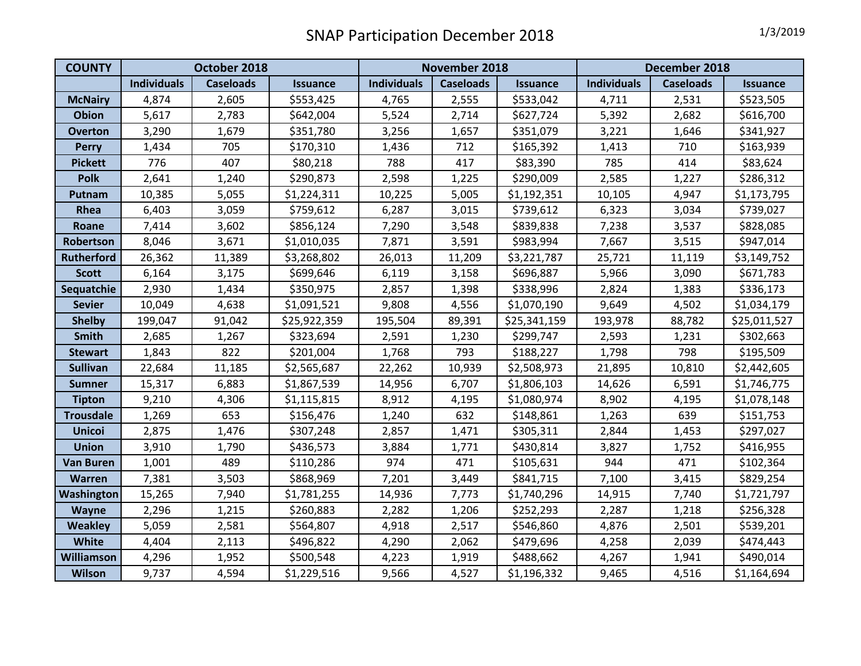| <b>COUNTY</b>     | October 2018       |                  |                 | November 2018      |                  |                 | December 2018      |                  |                 |
|-------------------|--------------------|------------------|-----------------|--------------------|------------------|-----------------|--------------------|------------------|-----------------|
|                   | <b>Individuals</b> | <b>Caseloads</b> | <b>Issuance</b> | <b>Individuals</b> | <b>Caseloads</b> | <b>Issuance</b> | <b>Individuals</b> | <b>Caseloads</b> | <b>Issuance</b> |
| <b>McNairy</b>    | 4,874              | 2,605            | \$553,425       | 4,765              | 2,555            | \$533,042       | 4,711              | 2,531            | \$523,505       |
| <b>Obion</b>      | 5,617              | 2,783            | \$642,004       | 5,524              | 2,714            | \$627,724       | 5,392              | 2,682            | \$616,700       |
| <b>Overton</b>    | 3,290              | 1,679            | \$351,780       | 3,256              | 1,657            | \$351,079       | 3,221              | 1,646            | \$341,927       |
| <b>Perry</b>      | 1,434              | 705              | \$170,310       | 1,436              | 712              | \$165,392       | 1,413              | 710              | \$163,939       |
| <b>Pickett</b>    | 776                | 407              | \$80,218        | 788                | 417              | \$83,390        | 785                | 414              | \$83,624        |
| <b>Polk</b>       | 2,641              | 1,240            | \$290,873       | 2,598              | 1,225            | \$290,009       | 2,585              | 1,227            | \$286,312       |
| Putnam            | 10,385             | 5,055            | \$1,224,311     | 10,225             | 5,005            | \$1,192,351     | 10,105             | 4,947            | \$1,173,795     |
| Rhea              | 6,403              | 3,059            | \$759,612       | 6,287              | 3,015            | \$739,612       | 6,323              | 3,034            | \$739,027       |
| Roane             | 7,414              | 3,602            | \$856,124       | 7,290              | 3,548            | \$839,838       | 7,238              | 3,537            | \$828,085       |
| Robertson         | 8,046              | 3,671            | \$1,010,035     | 7,871              | 3,591            | \$983,994       | 7,667              | 3,515            | \$947,014       |
| <b>Rutherford</b> | 26,362             | 11,389           | \$3,268,802     | 26,013             | 11,209           | \$3,221,787     | 25,721             | 11,119           | \$3,149,752     |
| <b>Scott</b>      | 6,164              | 3,175            | \$699,646       | 6,119              | 3,158            | \$696,887       | 5,966              | 3,090            | \$671,783       |
| Sequatchie        | 2,930              | 1,434            | \$350,975       | 2,857              | 1,398            | \$338,996       | 2,824              | 1,383            | \$336,173       |
| <b>Sevier</b>     | 10,049             | 4,638            | \$1,091,521     | 9,808              | 4,556            | \$1,070,190     | 9,649              | 4,502            | \$1,034,179     |
| <b>Shelby</b>     | 199,047            | 91,042           | \$25,922,359    | 195,504            | 89,391           | \$25,341,159    | 193,978            | 88,782           | \$25,011,527    |
| Smith             | 2,685              | 1,267            | \$323,694       | 2,591              | 1,230            | \$299,747       | 2,593              | 1,231            | \$302,663       |
| <b>Stewart</b>    | 1,843              | 822              | \$201,004       | 1,768              | 793              | \$188,227       | 1,798              | 798              | \$195,509       |
| <b>Sullivan</b>   | 22,684             | 11,185           | \$2,565,687     | 22,262             | 10,939           | \$2,508,973     | 21,895             | 10,810           | \$2,442,605     |
| <b>Sumner</b>     | 15,317             | 6,883            | \$1,867,539     | 14,956             | 6,707            | \$1,806,103     | 14,626             | 6,591            | \$1,746,775     |
| <b>Tipton</b>     | 9,210              | 4,306            | \$1,115,815     | 8,912              | 4,195            | \$1,080,974     | 8,902              | 4,195            | \$1,078,148     |
| <b>Trousdale</b>  | 1,269              | 653              | \$156,476       | 1,240              | 632              | \$148,861       | 1,263              | 639              | \$151,753       |
| <b>Unicoi</b>     | 2,875              | 1,476            | \$307,248       | 2,857              | 1,471            | \$305,311       | 2,844              | 1,453            | \$297,027       |
| <b>Union</b>      | 3,910              | 1,790            | \$436,573       | 3,884              | 1,771            | \$430,814       | 3,827              | 1,752            | \$416,955       |
| <b>Van Buren</b>  | 1,001              | 489              | \$110,286       | 974                | 471              | \$105,631       | 944                | 471              | \$102,364       |
| <b>Warren</b>     | 7,381              | 3,503            | \$868,969       | 7,201              | 3,449            | \$841,715       | 7,100              | 3,415            | \$829,254       |
| Washington        | 15,265             | 7,940            | \$1,781,255     | 14,936             | 7,773            | \$1,740,296     | 14,915             | 7,740            | \$1,721,797     |
| Wayne             | 2,296              | 1,215            | \$260,883       | 2,282              | 1,206            | \$252,293       | 2,287              | 1,218            | \$256,328       |
| <b>Weakley</b>    | 5,059              | 2,581            | \$564,807       | 4,918              | 2,517            | \$546,860       | 4,876              | 2,501            | \$539,201       |
| <b>White</b>      | 4,404              | 2,113            | \$496,822       | 4,290              | 2,062            | \$479,696       | 4,258              | 2,039            | \$474,443       |
| Williamson        | 4,296              | 1,952            | \$500,548       | 4,223              | 1,919            | \$488,662       | 4,267              | 1,941            | \$490,014       |
| <b>Wilson</b>     | 9,737              | 4,594            | \$1,229,516     | 9,566              | 4,527            | \$1,196,332     | 9,465              | 4,516            | \$1,164,694     |